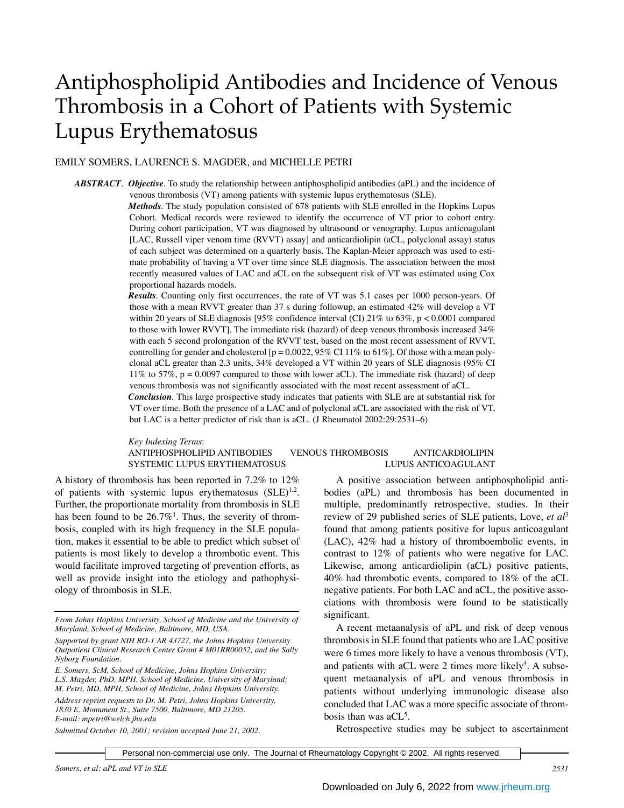# Antiphospholipid Antibodies and Incidence of Venous Thrombosis in a Cohort of Patients with Systemic Lupus Erythematosus

## EMILY SOMERS, LAURENCE S. MAGDER, and MICHELLE PETRI

*ABSTRACT*. *Objective.* To study the relationship between antiphospholipid antibodies (aPL) and the incidence of venous thrombosis (VT) among patients with systemic lupus erythematosus (SLE).

*Methods.* The study population consisted of 678 patients with SLE enrolled in the Hopkins Lupus Cohort. Medical records were reviewed to identify the occurrence of VT prior to cohort entry. During cohort participation, VT was diagnosed by ultrasound or venography. Lupus anticoagulant [LAC, Russell viper venom time (RVVT) assay] and anticardiolipin (aCL, polyclonal assay) status of each subject was determined on a quarterly basis. The Kaplan-Meier approach was used to estimate probability of having a VT over time since SLE diagnosis. The association between the most recently measured values of LAC and aCL on the subsequent risk of VT was estimated using Cox proportional hazards models.

*Results.* Counting only first occurrences, the rate of VT was 5.1 cases per 1000 person-years. Of those with a mean RVVT greater than 37 s during followup, an estimated 42% will develop a VT within 20 years of SLE diagnosis [95% confidence interval (CI)  $21\%$  to 63%, p < 0.0001 compared to those with lower RVVT]. The immediate risk (hazard) of deep venous thrombosis increased 34% with each 5 second prolongation of the RVVT test, based on the most recent assessment of RVVT, controlling for gender and cholesterol [ $p = 0.0022, 95\%$  CI 11% to 61%]. Of those with a mean polyclonal aCL greater than 2.3 units, 34% developed a VT within 20 years of SLE diagnosis (95% CI 11% to 57%, p = 0.0097 compared to those with lower aCL). The immediate risk (hazard) of deep venous thrombosis was not significantly associated with the most recent assessment of aCL.

*Conclusion.* This large prospective study indicates that patients with SLE are at substantial risk for VT over time. Both the presence of a LAC and of polyclonal aCL are associated with the risk of VT, but LAC is a better predictor of risk than is aCL. (J Rheumatol 2002:29:2531–6)

*Key Indexing Terms*:

### ANTIPHOSPHOLIPID ANTIBODIES VENOUS THROMBOSIS ANTICARDIOLIPIN SYSTEMIC LUPUS ERYTHEMATOSUS LUPUS ANTICOAGULANT

A history of thrombosis has been reported in 7.2% to 12% of patients with systemic lupus erythematosus  $(SLE)^{1,2}$ . Further, the proportionate mortality from thrombosis in SLE has been found to be  $26.7\%$ <sup>1</sup>. Thus, the severity of thrombosis, coupled with its high frequency in the SLE population, makes it essential to be able to predict which subset of patients is most likely to develop a thrombotic event. This would facilitate improved targeting of prevention efforts, as well as provide insight into the etiology and pathophysiology of thrombosis in SLE.

*E. Somers, ScM, School of Medicine, Johns Hopkins University; L.S. Magder, PhD, MPH, School of Medicine, University of Maryland; M. Petri, MD, MPH, School of Medicine, Johns Hopkins University. Address reprint requests to Dr. M. Petri, Johns Hopkins University, 1830 E. Monument St., Suite 7500, Baltimore, MD 21205. E-mail: mpetri@welch.jhu.edu*

*Submitted October 10, 2001; revision accepted June 21, 2002*.

A positive association between antiphospholipid antibodies (aPL) and thrombosis has been documented in multiple, predominantly retrospective, studies. In their review of 29 published series of SLE patients, Love, *et al*<sup>3</sup> found that among patients positive for lupus anticoagulant (LAC), 42% had a history of thromboembolic events, in contrast to 12% of patients who were negative for LAC. Likewise, among anticardiolipin (aCL) positive patients, 40% had thrombotic events, compared to 18% of the aCL negative patients. For both LAC and aCL, the positive asso-

significant. A recent metaanalysis of aPL and risk of deep venous thrombosis in SLE found that patients who are LAC positive were 6 times more likely to have a venous thrombosis (VT), and patients with aCL were 2 times more likely<sup>4</sup>. A subsequent metaanalysis of aPL and venous thrombosis in patients without underlying immunologic disease also concluded that LAC was a more specific associate of thrombosis than was aCL<sup>5</sup>.

ciations with thrombosis were found to be statistically

Retrospective studies may be subject to ascertainment

*From Johns Hopkins University, School of Medicine and the University of Maryland, School of Medicine, Baltimore, MD, USA.*

*Supported by grant NIH RO-1 AR 43727, the Johns Hopkins University Outpatient Clinical Research Center Grant # M01RR00052, and the Sally Nyborg Foundation.*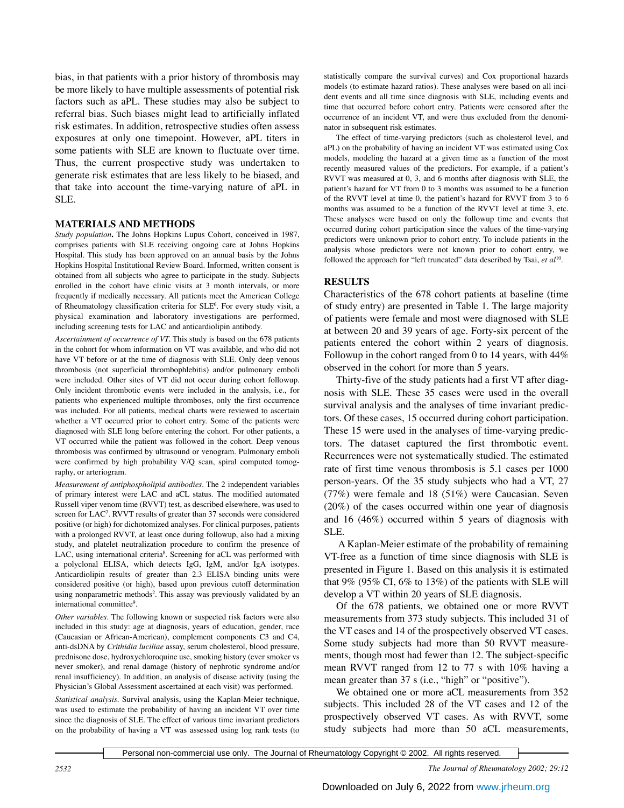bias, in that patients with a prior history of thrombosis may be more likely to have multiple assessments of potential risk factors such as aPL. These studies may also be subject to referral bias. Such biases might lead to artificially inflated risk estimates. In addition, retrospective studies often assess exposures at only one timepoint. However, aPL titers in some patients with SLE are known to fluctuate over time. Thus, the current prospective study was undertaken to generate risk estimates that are less likely to be biased, and that take into account the time-varying nature of aPL in SLE.

#### **MATERIALS AND METHODS**

*Study population***.** The Johns Hopkins Lupus Cohort, conceived in 1987, comprises patients with SLE receiving ongoing care at Johns Hopkins Hospital. This study has been approved on an annual basis by the Johns Hopkins Hospital Institutional Review Board. Informed, written consent is obtained from all subjects who agree to participate in the study. Subjects enrolled in the cohort have clinic visits at 3 month intervals, or more frequently if medically necessary. All patients meet the American College of Rheumatology classification criteria for SLE<sup>6</sup>. For every study visit, a physical examination and laboratory investigations are performed, including screening tests for LAC and anticardiolipin antibody.

*Ascertainment of occurrence of VT.* This study is based on the 678 patients in the cohort for whom information on VT was available, and who did not have VT before or at the time of diagnosis with SLE. Only deep venous thrombosis (not superficial thrombophlebitis) and/or pulmonary emboli were included. Other sites of VT did not occur during cohort followup. Only incident thrombotic events were included in the analysis, i.e., for patients who experienced multiple thromboses, only the first occurrence was included. For all patients, medical charts were reviewed to ascertain whether a VT occurred prior to cohort entry. Some of the patients were diagnosed with SLE long before entering the cohort. For other patients, a VT occurred while the patient was followed in the cohort. Deep venous thrombosis was confirmed by ultrasound or venogram. Pulmonary emboli were confirmed by high probability V/Q scan, spiral computed tomography, or arteriogram.

*Measurement of antiphospholipid antibodies*. The 2 independent variables of primary interest were LAC and aCL status. The modified automated Russell viper venom time (RVVT) test, as described elsewhere, was used to screen for LAC<sup>7</sup>. RVVT results of greater than 37 seconds were considered positive (or high) for dichotomized analyses. For clinical purposes, patients with a prolonged RVVT, at least once during followup, also had a mixing study, and platelet neutralization procedure to confirm the presence of LAC, using international criteria<sup>8</sup>. Screening for aCL was performed with a polyclonal ELISA, which detects IgG, IgM, and/or IgA isotypes. Anticardiolipin results of greater than 2.3 ELISA binding units were considered positive (or high), based upon previous cutoff determination using nonparametric methods<sup>2</sup>. This assay was previously validated by an international committee9 .

*Other variables.* The following known or suspected risk factors were also included in this study: age at diagnosis, years of education, gender, race (Caucasian or African-American), complement components C3 and C4, anti-dsDNA by *Crithidia luciliae* assay, serum cholesterol, blood pressure, prednisone dose, hydroxychloroquine use, smoking history (ever smoker vs never smoker), and renal damage (history of nephrotic syndrome and/or renal insufficiency). In addition, an analysis of disease activity (using the Physician's Global Assessment ascertained at each visit) was performed.

*Statistical analysis*. Survival analysis, using the Kaplan-Meier technique, was used to estimate the probability of having an incident VT over time since the diagnosis of SLE. The effect of various time invariant predictors on the probability of having a VT was assessed using log rank tests (to

statistically compare the survival curves) and Cox proportional hazards models (to estimate hazard ratios). These analyses were based on all incident events and all time since diagnosis with SLE, including events and time that occurred before cohort entry. Patients were censored after the occurrence of an incident VT, and were thus excluded from the denominator in subsequent risk estimates.

The effect of time-varying predictors (such as cholesterol level, and aPL) on the probability of having an incident VT was estimated using Cox models, modeling the hazard at a given time as a function of the most recently measured values of the predictors. For example, if a patient's RVVT was measured at 0, 3, and 6 months after diagnosis with SLE, the patient's hazard for VT from 0 to 3 months was assumed to be a function of the RVVT level at time 0, the patient's hazard for RVVT from 3 to 6 months was assumed to be a function of the RVVT level at time 3, etc. These analyses were based on only the followup time and events that occurred during cohort participation since the values of the time-varying predictors were unknown prior to cohort entry. To include patients in the analysis whose predictors were not known prior to cohort entry, we followed the approach for "left truncated" data described by Tsai, *et al*10.

#### **RESULTS**

Characteristics of the 678 cohort patients at baseline (time of study entry) are presented in Table 1. The large majority of patients were female and most were diagnosed with SLE at between 20 and 39 years of age. Forty-six percent of the patients entered the cohort within 2 years of diagnosis. Followup in the cohort ranged from 0 to 14 years, with 44% observed in the cohort for more than 5 years.

Thirty-five of the study patients had a first VT after diagnosis with SLE. These 35 cases were used in the overall survival analysis and the analyses of time invariant predictors. Of these cases, 15 occurred during cohort participation. These 15 were used in the analyses of time-varying predictors. The dataset captured the first thrombotic event. Recurrences were not systematically studied. The estimated rate of first time venous thrombosis is 5.1 cases per 1000 person-years. Of the 35 study subjects who had a VT, 27 (77%) were female and 18 (51%) were Caucasian. Seven (20%) of the cases occurred within one year of diagnosis and 16 (46%) occurred within 5 years of diagnosis with SLE.

A Kaplan-Meier estimate of the probability of remaining VT-free as a function of time since diagnosis with SLE is presented in Figure 1. Based on this analysis it is estimated that  $9\%$  ( $95\%$  CI,  $6\%$  to  $13\%$ ) of the patients with SLE will develop a VT within 20 years of SLE diagnosis.

Of the 678 patients, we obtained one or more RVVT measurements from 373 study subjects. This included 31 of the VT cases and 14 of the prospectively observed VT cases. Some study subjects had more than 50 RVVT measurements, though most had fewer than 12. The subject-specific mean RVVT ranged from 12 to 77 s with 10% having a mean greater than 37 s (i.e., "high" or "positive").

We obtained one or more aCL measurements from 352 subjects. This included 28 of the VT cases and 12 of the prospectively observed VT cases. As with RVVT, some study subjects had more than 50 aCL measurements,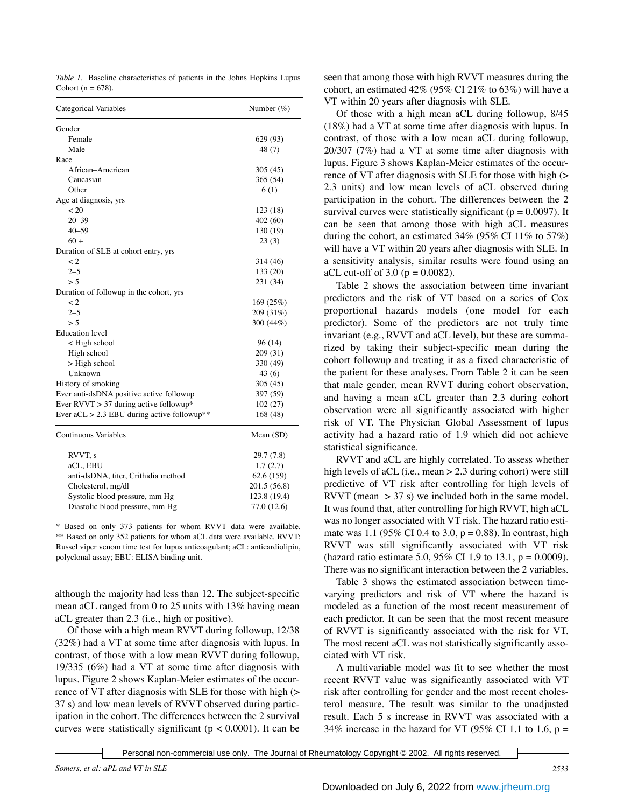*Table 1.* Baseline characteristics of patients in the Johns Hopkins Lupus Cohort ( $n = 678$ ).

| Categorical Variables                         | Number $(\%)$ |  |  |
|-----------------------------------------------|---------------|--|--|
| Gender                                        |               |  |  |
| Female                                        | 629 (93)      |  |  |
| Male                                          | 48 (7)        |  |  |
| Race                                          |               |  |  |
| African-American                              | 305 (45)      |  |  |
| Caucasian                                     | 365 (54)      |  |  |
| Other                                         | 6(1)          |  |  |
| Age at diagnosis, yrs                         |               |  |  |
| ~120                                          | 123 (18)      |  |  |
| $20 - 39$                                     | 402 (60)      |  |  |
| $40 - 59$                                     | 130 (19)      |  |  |
| $60 +$                                        | 23(3)         |  |  |
| Duration of SLE at cohort entry, yrs          |               |  |  |
| $\lt 2$                                       | 314 (46)      |  |  |
| $2 - 5$                                       | 133 (20)      |  |  |
| > 5                                           | 231 (34)      |  |  |
| Duration of followup in the cohort, yrs       |               |  |  |
| $\lt 2$                                       | 169 (25%)     |  |  |
| $2 - 5$                                       | 209 (31%)     |  |  |
| > 5                                           | 300 (44%)     |  |  |
| <b>Education</b> level                        |               |  |  |
| < High school                                 | 96 (14)       |  |  |
| High school                                   | 209 (31)      |  |  |
| $>$ High school                               | 330 (49)      |  |  |
| Unknown                                       | 43(6)         |  |  |
| History of smoking                            | 305(45)       |  |  |
| Ever anti-dsDNA positive active followup      | 397 (59)      |  |  |
| Ever RVVT $> 37$ during active followup*      | 102(27)       |  |  |
| Ever $aCL > 2.3$ EBU during active followup** | 168 (48)      |  |  |
| <b>Continuous Variables</b>                   | Mean $(SD)$   |  |  |
| RVVT, s                                       | 29.7(7.8)     |  |  |
| aCL, EBU                                      | 1.7(2.7)      |  |  |
| anti-dsDNA, titer, Crithidia method           | 62.6 (159)    |  |  |

\* Based on only 373 patients for whom RVVT data were available. \*\* Based on only 352 patients for whom aCL data were available. RVVT: Russel viper venom time test for lupus anticoagulant; aCL: anticardiolipin, polyclonal assay; EBU: ELISA binding unit.

Cholesterol, mg/dl 201.5 (56.8) Systolic blood pressure, mm Hg 123.8 (19.4) Diastolic blood pressure, mm Hg 77.0 (12.6)

although the majority had less than 12. The subject-specific mean aCL ranged from 0 to 25 units with 13% having mean aCL greater than 2.3 (i.e., high or positive).

Of those with a high mean RVVT during followup, 12/38 (32%) had a VT at some time after diagnosis with lupus. In contrast, of those with a low mean RVVT during followup, 19/335 (6%) had a VT at some time after diagnosis with lupus. Figure 2 shows Kaplan-Meier estimates of the occurrence of VT after diagnosis with SLE for those with high (> 37 s) and low mean levels of RVVT observed during participation in the cohort. The differences between the 2 survival curves were statistically significant ( $p < 0.0001$ ). It can be

seen that among those with high RVVT measures during the cohort, an estimated 42% (95% CI 21% to 63%) will have a VT within 20 years after diagnosis with SLE.

Of those with a high mean aCL during followup, 8/45 (18%) had a VT at some time after diagnosis with lupus. In contrast, of those with a low mean aCL during followup, 20/307 (7%) had a VT at some time after diagnosis with lupus. Figure 3 shows Kaplan-Meier estimates of the occurrence of VT after diagnosis with SLE for those with high (> 2.3 units) and low mean levels of aCL observed during participation in the cohort. The differences between the 2 survival curves were statistically significant ( $p = 0.0097$ ). It can be seen that among those with high aCL measures during the cohort, an estimated 34% (95% CI 11% to 57%) will have a VT within 20 years after diagnosis with SLE. In a sensitivity analysis, similar results were found using an aCL cut-off of 3.0 ( $p = 0.0082$ ).

Table 2 shows the association between time invariant predictors and the risk of VT based on a series of Cox proportional hazards models (one model for each predictor). Some of the predictors are not truly time invariant (e.g., RVVT and aCL level), but these are summarized by taking their subject-specific mean during the cohort followup and treating it as a fixed characteristic of the patient for these analyses. From Table 2 it can be seen that male gender, mean RVVT during cohort observation, and having a mean aCL greater than 2.3 during cohort observation were all significantly associated with higher risk of VT. The Physician Global Assessment of lupus activity had a hazard ratio of 1.9 which did not achieve statistical significance.

RVVT and aCL are highly correlated. To assess whether high levels of aCL (i.e., mean > 2.3 during cohort) were still predictive of VT risk after controlling for high levels of RVVT (mean  $> 37$  s) we included both in the same model. It was found that, after controlling for high RVVT, high aCL was no longer associated with VT risk. The hazard ratio estimate was 1.1 (95% CI 0.4 to 3.0,  $p = 0.88$ ). In contrast, high RVVT was still significantly associated with VT risk (hazard ratio estimate 5.0, 95% CI 1.9 to 13.1,  $p = 0.0009$ ). There was no significant interaction between the 2 variables.

Table 3 shows the estimated association between timevarying predictors and risk of VT where the hazard is modeled as a function of the most recent measurement of each predictor. It can be seen that the most recent measure of RVVT is significantly associated with the risk for VT. The most recent aCL was not statistically significantly associated with VT risk.

A multivariable model was fit to see whether the most recent RVVT value was significantly associated with VT risk after controlling for gender and the most recent cholesterol measure. The result was similar to the unadjusted result. Each 5 s increase in RVVT was associated with a 34% increase in the hazard for VT (95% CI 1.1 to 1.6,  $p =$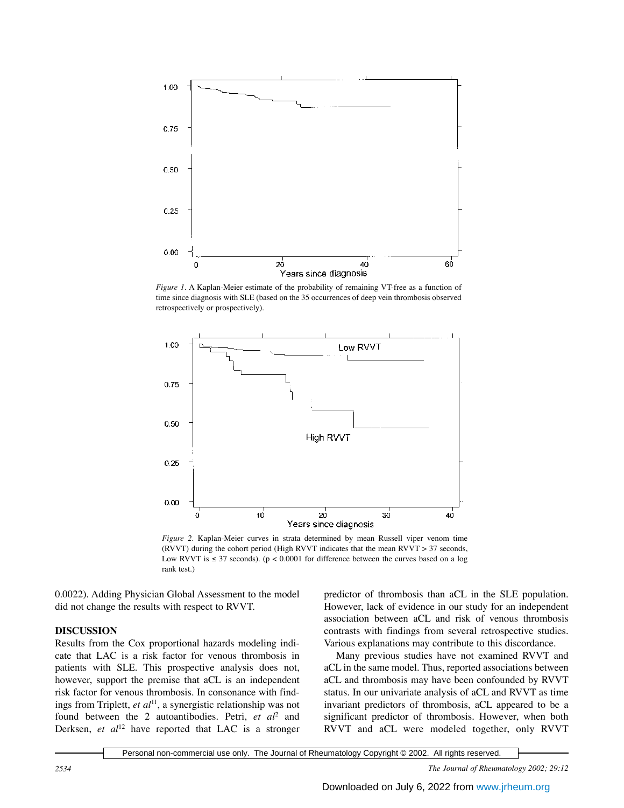

*Figure 1.* A Kaplan-Meier estimate of the probability of remaining VT-free as a function of time since diagnosis with SLE (based on the 35 occurrences of deep vein thrombosis observed retrospectively or prospectively).



*Figure 2.* Kaplan-Meier curves in strata determined by mean Russell viper venom time (RVVT) during the cohort period (High RVVT indicates that the mean RVVT > 37 seconds, Low RVVT is  $\leq$  37 seconds). (p < 0.0001 for difference between the curves based on a log rank test.)

0.0022). Adding Physician Global Assessment to the model did not change the results with respect to RVVT.

#### **DISCUSSION**

Results from the Cox proportional hazards modeling indicate that LAC is a risk factor for venous thrombosis in patients with SLE. This prospective analysis does not, however, support the premise that aCL is an independent risk factor for venous thrombosis. In consonance with findings from Triplett, *et al*11, a synergistic relationship was not found between the 2 autoantibodies. Petri, *et al*<sup>2</sup> and Derksen, *et al*<sup>12</sup> have reported that LAC is a stronger predictor of thrombosis than aCL in the SLE population. However, lack of evidence in our study for an independent association between aCL and risk of venous thrombosis contrasts with findings from several retrospective studies. Various explanations may contribute to this discordance.

Many previous studies have not examined RVVT and aCL in the same model. Thus, reported associations between aCL and thrombosis may have been confounded by RVVT status. In our univariate analysis of aCL and RVVT as time invariant predictors of thrombosis, aCL appeared to be a significant predictor of thrombosis. However, when both RVVT and aCL were modeled together, only RVVT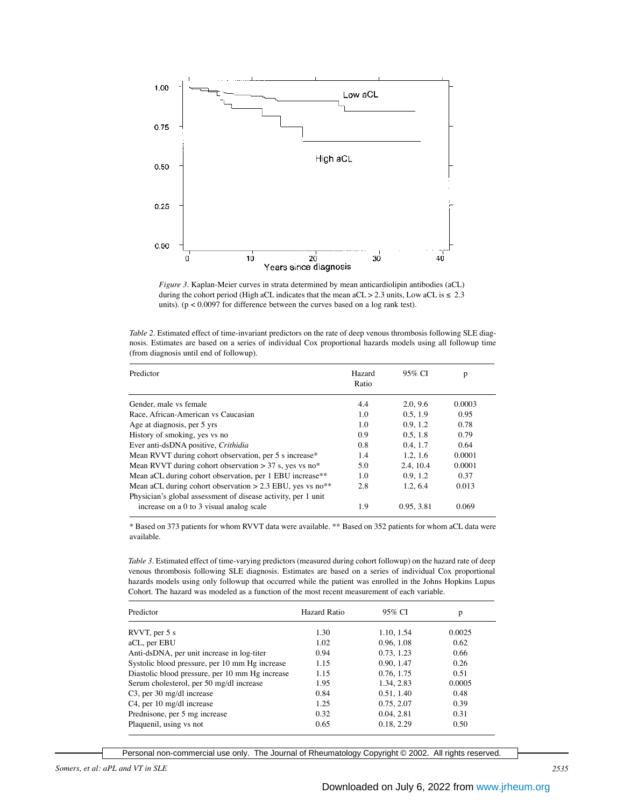

*Figure 3.* Kaplan-Meier curves in strata determined by mean anticardiolipin antibodies (aCL) during the cohort period (High aCL indicates that the mean aCL > 2.3 units, Low aCL is  $\leq 2.3$ units). ( $p < 0.0097$  for difference between the curves based on a log rank test).

|  | Table 2. Estimated effect of time-invariant predictors on the rate of deep venous thrombosis following SLE diag- |  |  |  |  |  |  |
|--|------------------------------------------------------------------------------------------------------------------|--|--|--|--|--|--|
|  | nosis. Estimates are based on a series of individual Cox proportional hazards models using all followup time     |  |  |  |  |  |  |
|  | (from diagnosis until end of followup).                                                                          |  |  |  |  |  |  |

| Predictor                                                                                                                                | Hazard<br>Ratio | 95% CI     | p      |
|------------------------------------------------------------------------------------------------------------------------------------------|-----------------|------------|--------|
| Gender, male vs female                                                                                                                   | 4.4             | 2.0.9.6    | 0.0003 |
| Race, African-American vs Caucasian                                                                                                      | 1.0             | 0.5, 1.9   | 0.95   |
| Age at diagnosis, per 5 yrs                                                                                                              | 1.0             | 0.9.1.2    | 0.78   |
| History of smoking, yes vs no                                                                                                            | 0.9             | 0.5, 1.8   | 0.79   |
| Ever anti-dsDNA positive, Crithidia                                                                                                      | 0.8             | 0.4, 1.7   | 0.64   |
| Mean RVVT during cohort observation, per 5 s increase*                                                                                   | 1.4             | 1.2, 1.6   | 0.0001 |
| Mean RVVT during cohort observation $> 37$ s, yes vs no*                                                                                 | 5.0             | 2.4, 10.4  | 0.0001 |
| Mean aCL during cohort observation, per 1 EBU increase**                                                                                 | 1.0             | 0.9.1.2    | 0.37   |
| Mean aCL during cohort observation $> 2.3$ EBU, yes vs no <sup>**</sup><br>Physician's global assessment of disease activity, per 1 unit | 2.8             | 1.2, 6.4   | 0.013  |
| increase on a 0 to 3 visual analog scale                                                                                                 | 1.9             | 0.95, 3.81 | 0.069  |

\* Based on 373 patients for whom RVVT data were available. \*\* Based on 352 patients for whom aCL data were available.

*Table 3.* Estimated effect of time-varying predictors (measured during cohort followup) on the hazard rate of deep venous thrombosis following SLE diagnosis. Estimates are based on a series of individual Cox proportional hazards models using only followup that occurred while the patient was enrolled in the Johns Hopkins Lupus Cohort. The hazard was modeled as a function of the most recent measurement of each variable.

| Predictor                                       | Hazard Ratio | 95% CI     | p      |
|-------------------------------------------------|--------------|------------|--------|
| RVVT, per $5s$                                  | 1.30         | 1.10, 1.54 | 0.0025 |
| aCL, per EBU                                    | 1.02         | 0.96, 1.08 | 0.62   |
| Anti-dsDNA, per unit increase in log-titer      | 0.94         | 0.73, 1.23 | 0.66   |
| Systolic blood pressure, per 10 mm Hg increase  | 1.15         | 0.90, 1.47 | 0.26   |
| Diastolic blood pressure, per 10 mm Hg increase | 1.15         | 0.76, 1.75 | 0.51   |
| Serum cholesterol, per 50 mg/dl increase        | 1.95         | 1.34, 2.83 | 0.0005 |
| $C3$ , per 30 mg/dl increase                    | 0.84         | 0.51, 1.40 | 0.48   |
| C4, per 10 mg/dl increase                       | 1.25         | 0.75, 2.07 | 0.39   |
| Prednisone, per 5 mg increase                   | 0.32         | 0.04, 2.81 | 0.31   |
| Plaquenil, using vs not                         | 0.65         | 0.18, 2.29 | 0.50   |